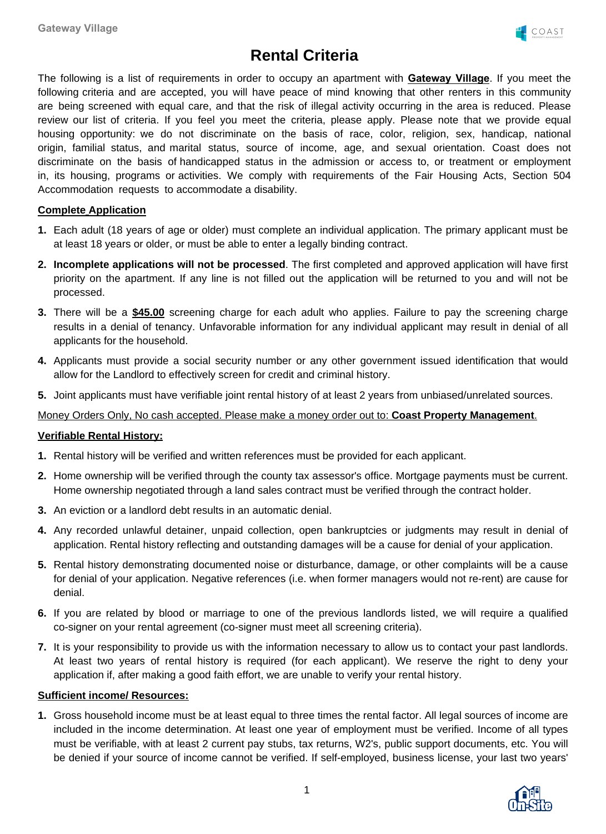

# **Rental Criteria**

The following is a list of requirements in order to occupy an apartment with **Gateway Village**. If you meet the following criteria and are accepted, you will have peace of mind knowing that other renters in this community are being screened with equal care, and that the risk of illegal activity occurring in the area is reduced. Please review our list of criteria. If you feel you meet the criteria, please apply. Please note that we provide equal housing opportunity: we do not discriminate on the basis of race, color, religion, sex, handicap, national origin, familial status, and marital status, source of income, age, and sexual orientation. Coast does not discriminate on the basis of handicapped status in the admission or access to, or treatment or employment in, its housing, programs or activities. We comply with requirements of the Fair Housing Acts, Section 504 Accommodation requests to accommodate a disability.

## **Complete Application**

- **1.** Each adult (18 years of age or older) must complete an individual application. The primary applicant must be at least 18 years or older, or must be able to enter a legally binding contract.
- **2. Incomplete applications will not be processed**. The first completed and approved application will have first priority on the apartment. If any line is not filled out the application will be returned to you and will not be processed.
- **3.** There will be a **\$45.00** screening charge for each adult who applies. Failure to pay the screening charge results in a denial of tenancy. Unfavorable information for any individual applicant may result in denial of all applicants for the household.
- **4.** Applicants must provide a social security number or any other government issued identification that would allow for the Landlord to effectively screen for credit and criminal history.
- **5.** Joint applicants must have verifiable joint rental history of at least 2 years from unbiased/unrelated sources.

### Money Orders Only, No cash accepted. Please make a money order out to: **Coast Property Management**.

#### **Verifiable Rental History:**

- **1.** Rental history will be verified and written references must be provided for each applicant.
- **2.** Home ownership will be verified through the county tax assessor's office. Mortgage payments must be current. Home ownership negotiated through a land sales contract must be verified through the contract holder.
- **3.** An eviction or a landlord debt results in an automatic denial.
- **4.** Any recorded unlawful detainer, unpaid collection, open bankruptcies or judgments may result in denial of application. Rental history reflecting and outstanding damages will be a cause for denial of your application.
- **5.** Rental history demonstrating documented noise or disturbance, damage, or other complaints will be a cause for denial of your application. Negative references (i.e. when former managers would not re-rent) are cause for denial.
- **6.** If you are related by blood or marriage to one of the previous landlords listed, we will require a qualified co-signer on your rental agreement (co-signer must meet all screening criteria).
- **7.** It is your responsibility to provide us with the information necessary to allow us to contact your past landlords. At least two years of rental history is required (for each applicant). We reserve the right to deny your application if, after making a good faith effort, we are unable to verify your rental history.

#### **Sufficient income/ Resources:**

**1.** Gross household income must be at least equal to three times the rental factor. All legal sources of income are included in the income determination. At least one year of employment must be verified. Income of all types must be verifiable, with at least 2 current pay stubs, tax returns, W2's, public support documents, etc. You will be denied if your source of income cannot be verified. If self-employed, business license, your last two years'